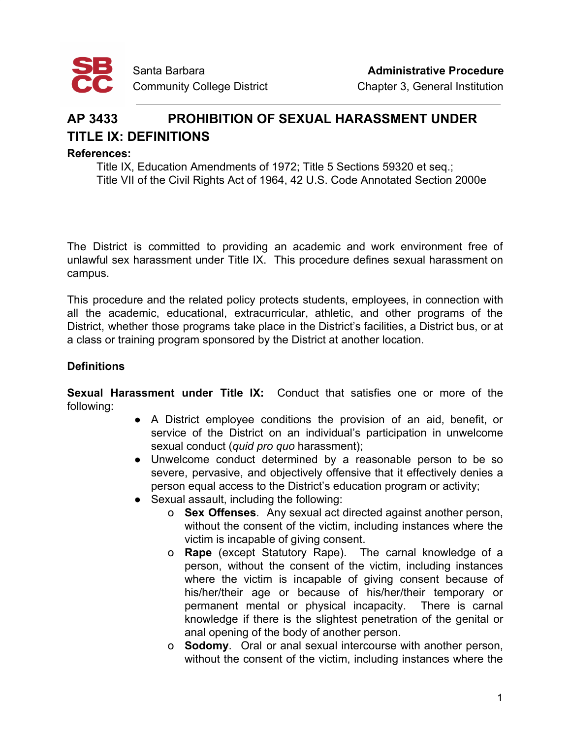

## **AP 3433 PROHIBITION OF SEXUAL HARASSMENT UNDER TITLE IX: DEFINITIONS**

## **References:**

Title IX, Education Amendments of 1972; Title 5 Sections 59320 et seq.; Title VII of the Civil Rights Act of 1964, 42 U.S. Code Annotated Section 2000e

The District is committed to providing an academic and work environment free of unlawful sex harassment under Title IX. This procedure defines sexual harassment on campus.

This procedure and the related policy protects students, employees, in connection with all the academic, educational, extracurricular, athletic, and other programs of the District, whether those programs take place in the District's facilities, a District bus, or at a class or training program sponsored by the District at another location.

## **Definitions**

**Sexual Harassment under Title IX:** Conduct that satisfies one or more of the following:

- A District employee conditions the provision of an aid, benefit, or service of the District on an individual's participation in unwelcome sexual conduct (*quid pro quo* harassment);
- Unwelcome conduct determined by a reasonable person to be so severe, pervasive, and objectively offensive that it effectively denies a person equal access to the District's education program or activity;
- Sexual assault, including the following:
	- o **Sex Offenses**. Any sexual act directed against another person, without the consent of the victim, including instances where the victim is incapable of giving consent.
	- o **Rape** (except Statutory Rape). The carnal knowledge of a person, without the consent of the victim, including instances where the victim is incapable of giving consent because of his/her/their age or because of his/her/their temporary or permanent mental or physical incapacity. There is carnal knowledge if there is the slightest penetration of the genital or anal opening of the body of another person.
	- o **Sodomy**. Oral or anal sexual intercourse with another person, without the consent of the victim, including instances where the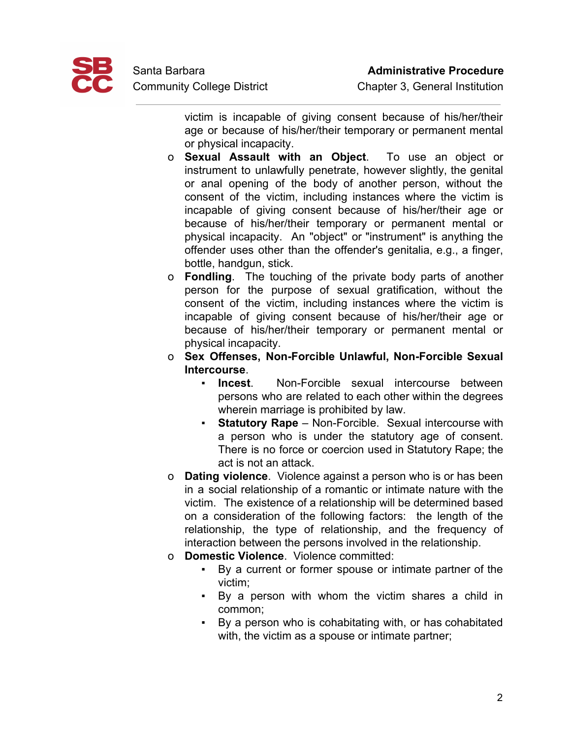

victim is incapable of giving consent because of his/her/their age or because of his/her/their temporary or permanent mental or physical incapacity.

- o **Sexual Assault with an Object**. To use an object or instrument to unlawfully penetrate, however slightly, the genital or anal opening of the body of another person, without the consent of the victim, including instances where the victim is incapable of giving consent because of his/her/their age or because of his/her/their temporary or permanent mental or physical incapacity. An "object" or "instrument" is anything the offender uses other than the offender's genitalia, e.g., a finger, bottle, handgun, stick.
- o **Fondling**. The touching of the private body parts of another person for the purpose of sexual gratification, without the consent of the victim, including instances where the victim is incapable of giving consent because of his/her/their age or because of his/her/their temporary or permanent mental or physical incapacity.
- o **Sex Offenses, Non-Forcible Unlawful, Non-Forcible Sexual Intercourse**.
	- **Incest**. Non-Forcible sexual intercourse between persons who are related to each other within the degrees wherein marriage is prohibited by law.
	- **Statutory Rape** Non-Forcible. Sexual intercourse with a person who is under the statutory age of consent. There is no force or coercion used in Statutory Rape; the act is not an attack.
- o **Dating violence**. Violence against a person who is or has been in a social relationship of a romantic or intimate nature with the victim. The existence of a relationship will be determined based on a consideration of the following factors: the length of the relationship, the type of relationship, and the frequency of interaction between the persons involved in the relationship.
- o **Domestic Violence**. Violence committed:
	- By a current or former spouse or intimate partner of the victim;
	- By a person with whom the victim shares a child in common;
	- By a person who is cohabitating with, or has cohabitated with, the victim as a spouse or intimate partner;